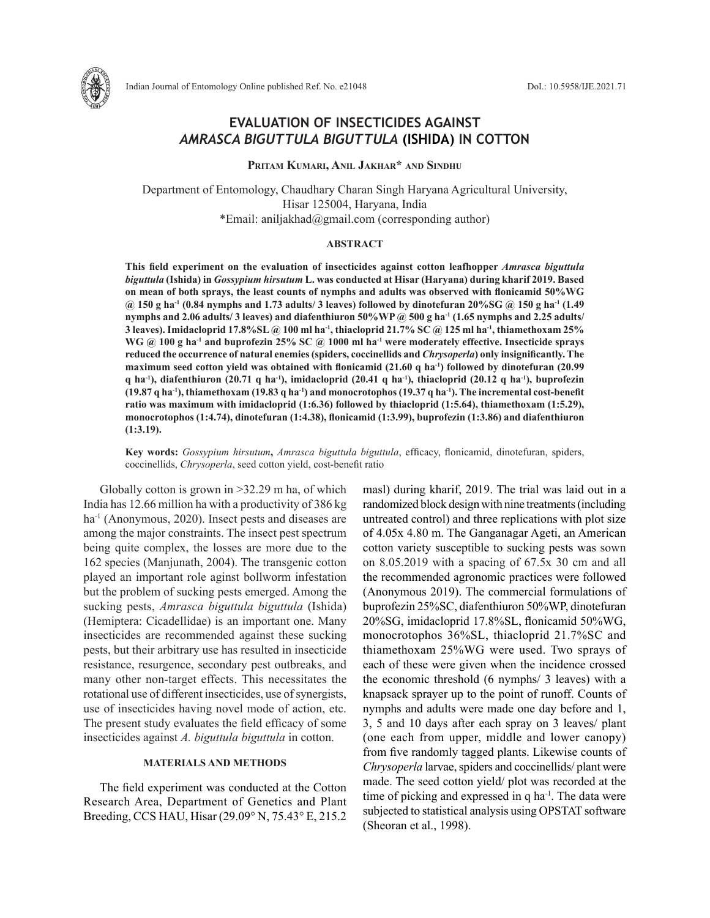

# **EVALUATION OF INSECTICIDES AGAINST**  *AMRASCA BIGUTTULA BIGUTTULA* **(ISHIDA) IN COTTON**

**Pritam Kumari, Anil Jakhar\* and Sindhu**

Department of Entomology, Chaudhary Charan Singh Haryana Agricultural University, Hisar 125004, Haryana, India \*Email: aniljakhad@gmail.com (corresponding author)

## **ABSTRACT**

**This field experiment on the evaluation of insecticides against cotton leafhopper** *Amrasca biguttula biguttula* **(Ishida) in** *Gossypium hirsutum* **L. was conducted at Hisar (Haryana) during kharif 2019. Based on mean of both sprays, the least counts of nymphs and adults was observed with flonicamid 50%WG @ 150 g ha-1 (0.84 nymphs and 1.73 adults/ 3 leaves) followed by dinotefuran 20%SG @ 150 g ha-1 (1.49 nymphs and 2.06 adults/ 3 leaves) and diafenthiuron 50%WP @ 500 g ha-1 (1.65 nymphs and 2.25 adults/ 3 leaves). Imidacloprid 17.8%SL @ 100 ml ha-1, thiacloprid 21.7% SC @ 125 ml ha-1, thiamethoxam 25%**  WG @ 100 g ha<sup>-1</sup> and buprofezin 25% SC @ 1000 ml ha<sup>-1</sup> were moderately effective. Insecticide sprays **reduced the occurrence of natural enemies (spiders, coccinellids and** *Chrysoperla***) only insignificantly. The maximum seed cotton yield was obtained with flonicamid (21.60 q ha-1) followed by dinotefuran (20.99 q ha-1), diafenthiuron (20.71 q ha-1), imidacloprid (20.41 q ha-1), thiacloprid (20.12 q ha-1), buprofezin (19.87 q ha-1), thiamethoxam (19.83 q ha-1) and monocrotophos (19.37 q ha-1). The incremental cost-benefit ratio was maximum with imidacloprid (1:6.36) followed by thiacloprid (1:5.64), thiamethoxam (1:5.29), monocrotophos (1:4.74), dinotefuran (1:4.38), flonicamid (1:3.99), buprofezin (1:3.86) and diafenthiuron (1:3.19).**

**Key words:** *Gossypium hirsutum***,** *Amrasca biguttula biguttula*, efficacy, flonicamid, dinotefuran, spiders, coccinellids, *Chrysoperla*, seed cotton yield, cost-benefit ratio

Globally cotton is grown in >32.29 m ha, of which India has 12.66 million ha with a productivity of 386 kg ha<sup>-1</sup> (Anonymous, 2020). Insect pests and diseases are among the major constraints. The insect pest spectrum being quite complex, the losses are more due to the 162 species (Manjunath, 2004). The transgenic cotton played an important role aginst bollworm infestation but the problem of sucking pests emerged. Among the sucking pests, *Amrasca biguttula biguttula* (Ishida) (Hemiptera: Cicadellidae) is an important one. Many insecticides are recommended against these sucking pests, but their arbitrary use has resulted in insecticide resistance, resurgence, secondary pest outbreaks, and many other non-target effects. This necessitates the rotational use of different insecticides, use of synergists, use of insecticides having novel mode of action, etc. The present study evaluates the field efficacy of some insecticides against *A. biguttula biguttula* in cotton.

## **MATERIALS AND METHODS**

The field experiment was conducted at the Cotton Research Area, Department of Genetics and Plant Breeding, CCS HAU, Hisar (29.09° N, 75.43° E, 215.2 masl) during kharif, 2019. The trial was laid out in a randomized block design with nine treatments (including untreated control) and three replications with plot size of 4.05x 4.80 m. The Ganganagar Ageti, an American cotton variety susceptible to sucking pests was sown on 8.05.2019 with a spacing of 67.5x 30 cm and all the recommended agronomic practices were followed (Anonymous 2019). The commercial formulations of buprofezin 25%SC, diafenthiuron 50%WP, dinotefuran 20%SG, imidacloprid 17.8%SL, flonicamid 50%WG, monocrotophos 36%SL, thiacloprid 21.7%SC and thiamethoxam 25%WG were used. Two sprays of each of these were given when the incidence crossed the economic threshold (6 nymphs/ 3 leaves) with a knapsack sprayer up to the point of runoff. Counts of nymphs and adults were made one day before and 1, 3, 5 and 10 days after each spray on 3 leaves/ plant (one each from upper, middle and lower canopy) from five randomly tagged plants. Likewise counts of *Chrysoperla* larvae, spiders and coccinellids/ plant were made. The seed cotton yield/ plot was recorded at the time of picking and expressed in q ha<sup>-1</sup>. The data were subjected to statistical analysis using OPSTAT software (Sheoran et al., 1998).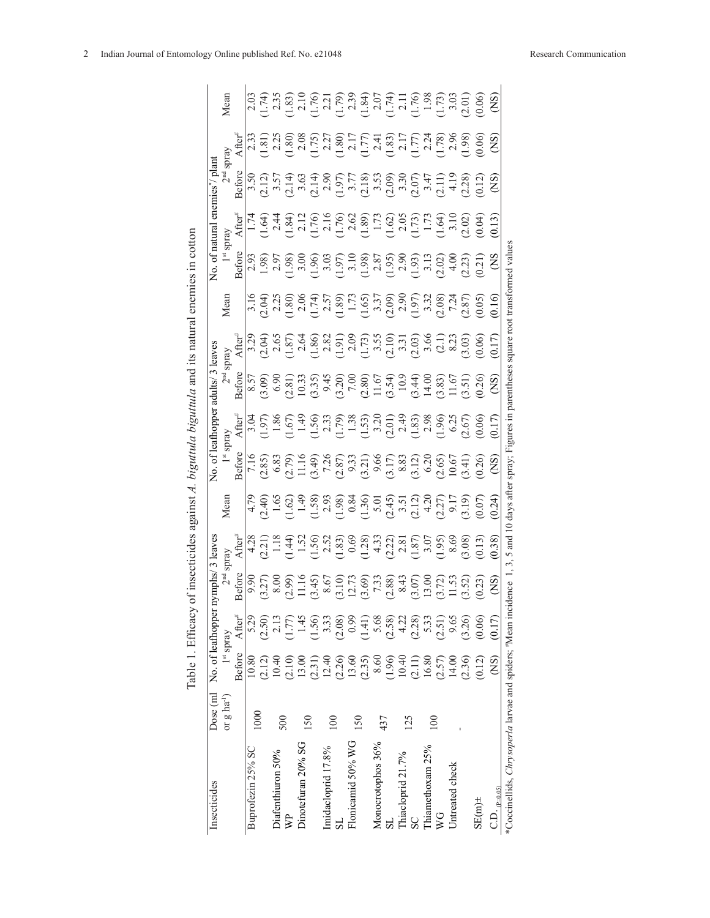|                                                            |                           |                                                       | Table 1. Efficacy o                                                                                                                                                                                                                                                                                            |                                                                                                                                                                                                                                                                       | insecticides                                         | against A. | biguttula                                                                                                                                                                                                                                                                                                                                          |                                                                                                                                                                                                                                                                                                                                                 | biguttula and | its natural                                                                                                                                                                                                                                                                                                   |                                                                                                                                                                                                                                                                                                               | enemies in cotton |                                                                                                                                                                                                                                                                                                                                                                                                   |                                                                                                                                                                                                                                                                                                                                                                                                                                                                                            |                                                                                                                                                                                                                                                                                                                           |                                                                                                                                                                                                                                                                                                               |
|------------------------------------------------------------|---------------------------|-------------------------------------------------------|----------------------------------------------------------------------------------------------------------------------------------------------------------------------------------------------------------------------------------------------------------------------------------------------------------------|-----------------------------------------------------------------------------------------------------------------------------------------------------------------------------------------------------------------------------------------------------------------------|------------------------------------------------------|------------|----------------------------------------------------------------------------------------------------------------------------------------------------------------------------------------------------------------------------------------------------------------------------------------------------------------------------------------------------|-------------------------------------------------------------------------------------------------------------------------------------------------------------------------------------------------------------------------------------------------------------------------------------------------------------------------------------------------|---------------|---------------------------------------------------------------------------------------------------------------------------------------------------------------------------------------------------------------------------------------------------------------------------------------------------------------|---------------------------------------------------------------------------------------------------------------------------------------------------------------------------------------------------------------------------------------------------------------------------------------------------------------|-------------------|---------------------------------------------------------------------------------------------------------------------------------------------------------------------------------------------------------------------------------------------------------------------------------------------------------------------------------------------------------------------------------------------------|--------------------------------------------------------------------------------------------------------------------------------------------------------------------------------------------------------------------------------------------------------------------------------------------------------------------------------------------------------------------------------------------------------------------------------------------------------------------------------------------|---------------------------------------------------------------------------------------------------------------------------------------------------------------------------------------------------------------------------------------------------------------------------------------------------------------------------|---------------------------------------------------------------------------------------------------------------------------------------------------------------------------------------------------------------------------------------------------------------------------------------------------------------|
| Insecticides                                               | Dose (ml                  |                                                       | No. of leafhopper ny                                                                                                                                                                                                                                                                                           | /ymphs                                                                                                                                                                                                                                                                | leave                                                |            |                                                                                                                                                                                                                                                                                                                                                    |                                                                                                                                                                                                                                                                                                                                                 |               |                                                                                                                                                                                                                                                                                                               |                                                                                                                                                                                                                                                                                                               | No. of natural    |                                                                                                                                                                                                                                                                                                                                                                                                   |                                                                                                                                                                                                                                                                                                                                                                                                                                                                                            |                                                                                                                                                                                                                                                                                                                           |                                                                                                                                                                                                                                                                                                               |
|                                                            | or $g$ ha <sup>-1</sup> ) |                                                       | $1^{\rm st}$ spray                                                                                                                                                                                                                                                                                             | 2 <sup>nd</sup>                                                                                                                                                                                                                                                       |                                                      | Mear       |                                                                                                                                                                                                                                                                                                                                                    |                                                                                                                                                                                                                                                                                                                                                 |               |                                                                                                                                                                                                                                                                                                               | Mear                                                                                                                                                                                                                                                                                                          |                   | spray                                                                                                                                                                                                                                                                                                                                                                                             |                                                                                                                                                                                                                                                                                                                                                                                                                                                                                            | yands                                                                                                                                                                                                                                                                                                                     | Mean                                                                                                                                                                                                                                                                                                          |
|                                                            |                           | <b>Before</b>                                         | After#                                                                                                                                                                                                                                                                                                         | <b>Before</b>                                                                                                                                                                                                                                                         | $\mathbf{After}^{\boldsymbol{\#}}$                   |            |                                                                                                                                                                                                                                                                                                                                                    | $\overline{\text{After}}^*$                                                                                                                                                                                                                                                                                                                     |               | $\overline{\text{After}}^n$                                                                                                                                                                                                                                                                                   |                                                                                                                                                                                                                                                                                                               |                   |                                                                                                                                                                                                                                                                                                                                                                                                   | Before                                                                                                                                                                                                                                                                                                                                                                                                                                                                                     |                                                                                                                                                                                                                                                                                                                           |                                                                                                                                                                                                                                                                                                               |
| Buprofezin 25% SC                                          | 1000                      | 10.80                                                 | 5.29                                                                                                                                                                                                                                                                                                           |                                                                                                                                                                                                                                                                       |                                                      |            |                                                                                                                                                                                                                                                                                                                                                    |                                                                                                                                                                                                                                                                                                                                                 |               |                                                                                                                                                                                                                                                                                                               |                                                                                                                                                                                                                                                                                                               |                   |                                                                                                                                                                                                                                                                                                                                                                                                   |                                                                                                                                                                                                                                                                                                                                                                                                                                                                                            |                                                                                                                                                                                                                                                                                                                           |                                                                                                                                                                                                                                                                                                               |
|                                                            |                           | (2.12)                                                |                                                                                                                                                                                                                                                                                                                |                                                                                                                                                                                                                                                                       |                                                      |            |                                                                                                                                                                                                                                                                                                                                                    |                                                                                                                                                                                                                                                                                                                                                 |               |                                                                                                                                                                                                                                                                                                               |                                                                                                                                                                                                                                                                                                               |                   |                                                                                                                                                                                                                                                                                                                                                                                                   |                                                                                                                                                                                                                                                                                                                                                                                                                                                                                            |                                                                                                                                                                                                                                                                                                                           |                                                                                                                                                                                                                                                                                                               |
| Diafenthiuron 50%                                          | 500                       | 10.40                                                 | $(2.50)$<br>2.13                                                                                                                                                                                                                                                                                               |                                                                                                                                                                                                                                                                       |                                                      |            |                                                                                                                                                                                                                                                                                                                                                    |                                                                                                                                                                                                                                                                                                                                                 |               |                                                                                                                                                                                                                                                                                                               |                                                                                                                                                                                                                                                                                                               |                   |                                                                                                                                                                                                                                                                                                                                                                                                   |                                                                                                                                                                                                                                                                                                                                                                                                                                                                                            |                                                                                                                                                                                                                                                                                                                           |                                                                                                                                                                                                                                                                                                               |
| $\mathbb{R}^2$                                             |                           | (2.10)                                                |                                                                                                                                                                                                                                                                                                                |                                                                                                                                                                                                                                                                       |                                                      |            |                                                                                                                                                                                                                                                                                                                                                    |                                                                                                                                                                                                                                                                                                                                                 |               |                                                                                                                                                                                                                                                                                                               |                                                                                                                                                                                                                                                                                                               |                   |                                                                                                                                                                                                                                                                                                                                                                                                   |                                                                                                                                                                                                                                                                                                                                                                                                                                                                                            |                                                                                                                                                                                                                                                                                                                           |                                                                                                                                                                                                                                                                                                               |
| Dinotefuran 20% SG                                         | 150                       | 13.00                                                 |                                                                                                                                                                                                                                                                                                                |                                                                                                                                                                                                                                                                       |                                                      |            |                                                                                                                                                                                                                                                                                                                                                    |                                                                                                                                                                                                                                                                                                                                                 |               |                                                                                                                                                                                                                                                                                                               |                                                                                                                                                                                                                                                                                                               |                   |                                                                                                                                                                                                                                                                                                                                                                                                   |                                                                                                                                                                                                                                                                                                                                                                                                                                                                                            |                                                                                                                                                                                                                                                                                                                           |                                                                                                                                                                                                                                                                                                               |
|                                                            |                           |                                                       |                                                                                                                                                                                                                                                                                                                |                                                                                                                                                                                                                                                                       |                                                      |            |                                                                                                                                                                                                                                                                                                                                                    |                                                                                                                                                                                                                                                                                                                                                 |               |                                                                                                                                                                                                                                                                                                               |                                                                                                                                                                                                                                                                                                               |                   |                                                                                                                                                                                                                                                                                                                                                                                                   |                                                                                                                                                                                                                                                                                                                                                                                                                                                                                            |                                                                                                                                                                                                                                                                                                                           |                                                                                                                                                                                                                                                                                                               |
| Imidacloprid 17.8%                                         |                           |                                                       |                                                                                                                                                                                                                                                                                                                |                                                                                                                                                                                                                                                                       |                                                      |            |                                                                                                                                                                                                                                                                                                                                                    |                                                                                                                                                                                                                                                                                                                                                 |               |                                                                                                                                                                                                                                                                                                               |                                                                                                                                                                                                                                                                                                               |                   |                                                                                                                                                                                                                                                                                                                                                                                                   |                                                                                                                                                                                                                                                                                                                                                                                                                                                                                            |                                                                                                                                                                                                                                                                                                                           |                                                                                                                                                                                                                                                                                                               |
|                                                            | $\overline{00}$           | $(2.31)$<br>$12.40$<br>$(2.26)$<br>$13.60$<br>$13.60$ |                                                                                                                                                                                                                                                                                                                |                                                                                                                                                                                                                                                                       |                                                      |            |                                                                                                                                                                                                                                                                                                                                                    |                                                                                                                                                                                                                                                                                                                                                 |               |                                                                                                                                                                                                                                                                                                               |                                                                                                                                                                                                                                                                                                               |                   |                                                                                                                                                                                                                                                                                                                                                                                                   |                                                                                                                                                                                                                                                                                                                                                                                                                                                                                            |                                                                                                                                                                                                                                                                                                                           |                                                                                                                                                                                                                                                                                                               |
| Flonicamid 50% WG                                          | 150                       |                                                       |                                                                                                                                                                                                                                                                                                                |                                                                                                                                                                                                                                                                       |                                                      |            |                                                                                                                                                                                                                                                                                                                                                    |                                                                                                                                                                                                                                                                                                                                                 |               |                                                                                                                                                                                                                                                                                                               |                                                                                                                                                                                                                                                                                                               |                   |                                                                                                                                                                                                                                                                                                                                                                                                   |                                                                                                                                                                                                                                                                                                                                                                                                                                                                                            |                                                                                                                                                                                                                                                                                                                           |                                                                                                                                                                                                                                                                                                               |
|                                                            |                           |                                                       |                                                                                                                                                                                                                                                                                                                |                                                                                                                                                                                                                                                                       |                                                      |            |                                                                                                                                                                                                                                                                                                                                                    |                                                                                                                                                                                                                                                                                                                                                 |               |                                                                                                                                                                                                                                                                                                               |                                                                                                                                                                                                                                                                                                               |                   |                                                                                                                                                                                                                                                                                                                                                                                                   |                                                                                                                                                                                                                                                                                                                                                                                                                                                                                            |                                                                                                                                                                                                                                                                                                                           |                                                                                                                                                                                                                                                                                                               |
| Monocrotophos 36%                                          | 437                       | $8.60\,$                                              |                                                                                                                                                                                                                                                                                                                |                                                                                                                                                                                                                                                                       |                                                      |            |                                                                                                                                                                                                                                                                                                                                                    |                                                                                                                                                                                                                                                                                                                                                 |               |                                                                                                                                                                                                                                                                                                               |                                                                                                                                                                                                                                                                                                               |                   |                                                                                                                                                                                                                                                                                                                                                                                                   |                                                                                                                                                                                                                                                                                                                                                                                                                                                                                            |                                                                                                                                                                                                                                                                                                                           |                                                                                                                                                                                                                                                                                                               |
|                                                            |                           |                                                       |                                                                                                                                                                                                                                                                                                                |                                                                                                                                                                                                                                                                       |                                                      |            |                                                                                                                                                                                                                                                                                                                                                    |                                                                                                                                                                                                                                                                                                                                                 |               |                                                                                                                                                                                                                                                                                                               |                                                                                                                                                                                                                                                                                                               |                   |                                                                                                                                                                                                                                                                                                                                                                                                   |                                                                                                                                                                                                                                                                                                                                                                                                                                                                                            |                                                                                                                                                                                                                                                                                                                           |                                                                                                                                                                                                                                                                                                               |
| Thiacloprid 21.7%                                          | 125                       |                                                       |                                                                                                                                                                                                                                                                                                                |                                                                                                                                                                                                                                                                       |                                                      |            |                                                                                                                                                                                                                                                                                                                                                    |                                                                                                                                                                                                                                                                                                                                                 |               |                                                                                                                                                                                                                                                                                                               |                                                                                                                                                                                                                                                                                                               |                   |                                                                                                                                                                                                                                                                                                                                                                                                   |                                                                                                                                                                                                                                                                                                                                                                                                                                                                                            |                                                                                                                                                                                                                                                                                                                           |                                                                                                                                                                                                                                                                                                               |
| SC                                                         |                           | $(1.96)$<br>$10.40$<br>$(2.11)$<br>$16.80$            | $\begin{array}{l} \n 1.77 \\ 1.45 \\ 1.59 \\ 1.33 \\ 0.89 \\ 0.99 \\ 0.41 \\ 0.50 \\ 0.50 \\ 0.71 \\ 0.80 \\ 0.71 \\ 0.50 \\ 0.50 \\ 0.50 \\ 0.50 \\ 0.50 \\ 0.50 \\ 0.50 \\ 0.50 \\ 0.50 \\ 0.50 \\ 0.50 \\ 0.50 \\ 0.50 \\ 0.50 \\ 0.50 \\ 0.50 \\ 0.50 \\ 0.50 \\ 0.50 \\ 0.50 \\ 0.50 \\ 0.50 \\ 0.50 \\ $ |                                                                                                                                                                                                                                                                       |                                                      |            |                                                                                                                                                                                                                                                                                                                                                    |                                                                                                                                                                                                                                                                                                                                                 |               |                                                                                                                                                                                                                                                                                                               |                                                                                                                                                                                                                                                                                                               |                   |                                                                                                                                                                                                                                                                                                                                                                                                   |                                                                                                                                                                                                                                                                                                                                                                                                                                                                                            |                                                                                                                                                                                                                                                                                                                           |                                                                                                                                                                                                                                                                                                               |
| Thiamethoxam 25%                                           | 100                       |                                                       |                                                                                                                                                                                                                                                                                                                |                                                                                                                                                                                                                                                                       |                                                      |            |                                                                                                                                                                                                                                                                                                                                                    |                                                                                                                                                                                                                                                                                                                                                 |               |                                                                                                                                                                                                                                                                                                               |                                                                                                                                                                                                                                                                                                               |                   |                                                                                                                                                                                                                                                                                                                                                                                                   |                                                                                                                                                                                                                                                                                                                                                                                                                                                                                            |                                                                                                                                                                                                                                                                                                                           |                                                                                                                                                                                                                                                                                                               |
| $\overline{W}$                                             |                           | (2.57)                                                |                                                                                                                                                                                                                                                                                                                |                                                                                                                                                                                                                                                                       |                                                      |            |                                                                                                                                                                                                                                                                                                                                                    |                                                                                                                                                                                                                                                                                                                                                 |               |                                                                                                                                                                                                                                                                                                               |                                                                                                                                                                                                                                                                                                               |                   |                                                                                                                                                                                                                                                                                                                                                                                                   |                                                                                                                                                                                                                                                                                                                                                                                                                                                                                            |                                                                                                                                                                                                                                                                                                                           |                                                                                                                                                                                                                                                                                                               |
| Untreated check                                            |                           | 14.00                                                 |                                                                                                                                                                                                                                                                                                                |                                                                                                                                                                                                                                                                       |                                                      |            |                                                                                                                                                                                                                                                                                                                                                    |                                                                                                                                                                                                                                                                                                                                                 |               |                                                                                                                                                                                                                                                                                                               |                                                                                                                                                                                                                                                                                                               |                   |                                                                                                                                                                                                                                                                                                                                                                                                   |                                                                                                                                                                                                                                                                                                                                                                                                                                                                                            |                                                                                                                                                                                                                                                                                                                           |                                                                                                                                                                                                                                                                                                               |
|                                                            |                           | (2.36)                                                | (3.26)                                                                                                                                                                                                                                                                                                         | $\begin{array}{l} 9,90\\ 0,100\\ 0,101\\ 0,102\\ 0,103\\ 0,104\\ 0,105\\ 0,100\\ 0,101\\ 0,100\\ 0,100\\ 0,100\\ 0,100\\ 0,100\\ 0,100\\ 0,100\\ 0,100\\ 0,100\\ 0,100\\ 0,100\\ 0,100\\ 0,100\\ 0,100\\ 0,100\\ 0,100\\ 0,100\\ 0,100\\ 0,100\\ 0,100\\ 0,100\\ 0,1$ |                                                      |            |                                                                                                                                                                                                                                                                                                                                                    |                                                                                                                                                                                                                                                                                                                                                 |               |                                                                                                                                                                                                                                                                                                               |                                                                                                                                                                                                                                                                                                               |                   | $\begin{array}{l} \frac{4}{3} \frac{1}{2} \frac{1}{2} \frac{1}{2} \frac{1}{2} \frac{1}{2} \frac{1}{2} \frac{1}{2} \frac{1}{2} \frac{1}{2} \frac{1}{2} \frac{1}{2} \frac{1}{2} \frac{1}{2} \frac{1}{2} \frac{1}{2} \frac{1}{2} \frac{1}{2} \frac{1}{2} \frac{1}{2} \frac{1}{2} \frac{1}{2} \frac{1}{2} \frac{1}{2} \frac{1}{2} \frac{1}{2} \frac{1}{2} \frac{1}{2} \frac{1}{2} \frac{1}{2} \frac{$ |                                                                                                                                                                                                                                                                                                                                                                                                                                                                                            |                                                                                                                                                                                                                                                                                                                           |                                                                                                                                                                                                                                                                                                               |
| $\sin 35$                                                  |                           | (0.12)                                                | (0.06)                                                                                                                                                                                                                                                                                                         | (0.23)                                                                                                                                                                                                                                                                |                                                      |            | $\frac{6666}{714}$ = $\frac{1}{2}$<br>$\frac{1}{2}$<br>$\frac{1}{2}$<br>$\frac{1}{2}$<br>$\frac{1}{2}$<br>$\frac{1}{2}$<br>$\frac{1}{2}$<br>$\frac{1}{2}$<br>$\frac{1}{2}$<br>$\frac{1}{2}$<br>$\frac{1}{2}$<br>$\frac{1}{2}$<br>$\frac{1}{2}$<br>$\frac{1}{2}$<br>$\frac{1}{2}$<br>$\frac{1}{2}$<br>$\frac{1}{2}$<br>$\frac{1}{2}$<br>$\frac{1}{$ | $\begin{array}{l} 3.67 \\ 1.97 \\ -1.86 \\ -1.67 \\ -1.67 \\ -1.97 \\ -1.97 \\ -1.97 \\ -1.97 \\ -1.97 \\ -1.97 \\ -1.97 \\ -1.97 \\ -1.97 \\ -1.97 \\ -1.97 \\ -1.97 \\ -1.97 \\ -1.97 \\ -1.97 \\ -1.97 \\ -1.97 \\ -1.97 \\ -1.97 \\ -1.97 \\ -1.97 \\ -1.97 \\ -1.97 \\ -1.97 \\ -1.97 \\ -1.97 \\ -1.97 \\ -1.97 \\ -1.97 \\ -1.97 \\ -1.$ |               | $\begin{array}{l} 3.23 \\ 2.65 \\ 2.65 \\ 1.80 \\ 2.64 \\ 2.80 \\ 3.81 \\ 4.82 \\ 5.83 \\ 6.81 \\ 7.81 \\ 7.82 \\ 8.81 \\ 1.83 \\ 1.81 \\ 1.83 \\ 1.83 \\ 1.83 \\ 1.83 \\ 1.83 \\ 1.83 \\ 1.83 \\ 1.83 \\ 1.83 \\ 1.83 \\ 1.83 \\ 1.83 \\ 1.83 \\ 1.83 \\ 1.83 \\ 1.83 \\ 1.83 \\ 1.83 \\ 1.83 \\ 1.83 \\ 1.$ | $\begin{array}{l} 3.16 \\ 2.23 \\ 2.5 \\ 1.80 \\ 1.74 \\ 2.57 \\ 1.74 \\ 1.73 \\ 1.74 \\ 1.75 \\ 1.79 \\ 1.73 \\ 1.74 \\ 1.75 \\ 1.79 \\ 1.73 \\ 1.75 \\ 1.79 \\ 1.73 \\ 1.74 \\ 1.74 \\ 1.75 \\ 1.74 \\ 1.75 \\ 1.75 \\ 1.77 \\ 1.74 \\ 1.73 \\ 1.75 \\ 1.77 \\ 1.78 \\ 1.79 \\ 1.79 \\ 1.79 \\ 1.71 \\ 1.7$ |                   |                                                                                                                                                                                                                                                                                                                                                                                                   | $3, \overline{0}, \overline{12}, \overline{14}, \overline{13}, \overline{15}, \overline{16}, \overline{18}, \overline{19}, \overline{18}, \overline{19}, \overline{19}, \overline{19}, \overline{19}, \overline{19}, \overline{19}, \overline{19}, \overline{19}, \overline{19}, \overline{19}, \overline{19}, \overline{19}, \overline{19}, \overline{19}, \overline{19}, \overline{19}, \overline{19}, \overline{19}, \overline{19}, \overline{19}, \overline{19}, \overline{19}, \over$ | $\begin{array}{l} \mathbf{\mathcal{A}}[\mathbf{r}]}{1.31} \\ 1.51 \\ 2.23 \\ 3.60 \\ 1.75 \\ 2.80 \\ 2.75 \\ 2.75 \\ 2.75 \\ 2.75 \\ 2.75 \\ 2.75 \\ 2.75 \\ 2.75 \\ 2.75 \\ 2.75 \\ 2.75 \\ 2.75 \\ 2.75 \\ 2.75 \\ 2.75 \\ 2.85 \\ 2.86 \\ 2.88 \\ 2.88 \\ 2.89 \\ 2.89 \\ 2.89 \\ 2.89 \\ 2.89 \\ 2.89 \\ 2.89 \\ 2.8$ | $\begin{array}{l} 2.03 \\ 1.74 \\ 2.35 \\ 1.83 \\ 2.11 \\ 2.11 \\ 2.11 \\ 2.11 \\ 2.11 \\ 2.11 \\ 2.11 \\ 2.11 \\ 2.11 \\ 2.11 \\ 2.11 \\ 2.11 \\ 2.11 \\ 2.11 \\ 2.11 \\ 2.11 \\ 2.11 \\ 2.11 \\ 2.11 \\ 2.11 \\ 2.11 \\ 2.11 \\ 2.11 \\ 2.11 \\ 2.11 \\ 2.12 \\ 2.12 \\ 2.13 \\ 2.13 \\ 2.21 \\ 2.21 \\ 2.$ |
| $\text{C.D.}$ $\text{p}_\text{max}$                        |                           | (NS)                                                  | (0.17)                                                                                                                                                                                                                                                                                                         | $\overline{S}$                                                                                                                                                                                                                                                        | 0.38                                                 |            |                                                                                                                                                                                                                                                                                                                                                    | 0.17                                                                                                                                                                                                                                                                                                                                            | S             | 0.17                                                                                                                                                                                                                                                                                                          |                                                                                                                                                                                                                                                                                                               |                   | 0.13                                                                                                                                                                                                                                                                                                                                                                                              |                                                                                                                                                                                                                                                                                                                                                                                                                                                                                            |                                                                                                                                                                                                                                                                                                                           |                                                                                                                                                                                                                                                                                                               |
| *Coccinellids, Chrysoperla larvae and spiders; *Mean incid |                           |                                                       |                                                                                                                                                                                                                                                                                                                | ence 1,                                                                                                                                                                                                                                                               | 3, 5 and 10 days after spray; Figures in parentheses |            |                                                                                                                                                                                                                                                                                                                                                    |                                                                                                                                                                                                                                                                                                                                                 |               |                                                                                                                                                                                                                                                                                                               | square root transformed value                                                                                                                                                                                                                                                                                 |                   |                                                                                                                                                                                                                                                                                                                                                                                                   |                                                                                                                                                                                                                                                                                                                                                                                                                                                                                            |                                                                                                                                                                                                                                                                                                                           |                                                                                                                                                                                                                                                                                                               |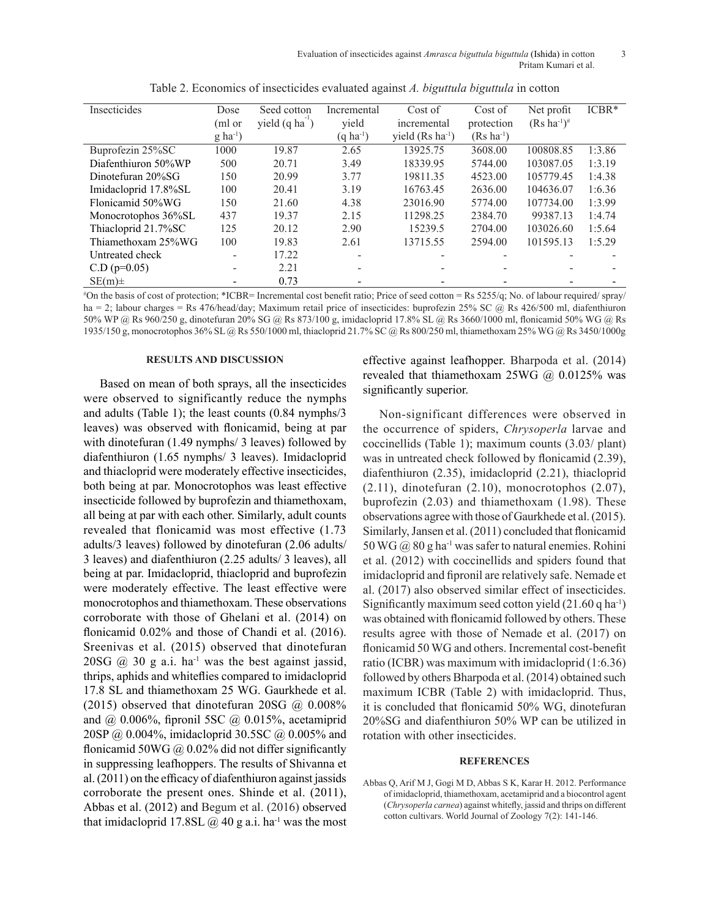| Insecticides         | Dose                   | Seed cotton                      | Incremental           | Cost of                      | Cost of                | Net profit             | $ICBR*$ |
|----------------------|------------------------|----------------------------------|-----------------------|------------------------------|------------------------|------------------------|---------|
|                      | (ml or                 | yield $(q \text{ ha}^{\dagger})$ | yield                 | incremental                  | protection             | $(Rs \, ha^{-1})^{\#}$ |         |
|                      | $g$ ha <sup>-1</sup> ) |                                  | $(q \text{ ha}^{-1})$ | vield $(Rs \text{ ha}^{-1})$ | $(Rs \text{ ha}^{-1})$ |                        |         |
| Buprofezin 25%SC     | 1000                   | 19.87                            | 2.65                  | 13925.75                     | 3608.00                | 100808.85              | 1:3.86  |
| Diafenthiuron 50%WP  | 500                    | 20.71                            | 3.49                  | 18339.95                     | 5744.00                | 103087.05              | 1:3.19  |
| Dinotefuran 20%SG    | 150                    | 20.99                            | 3.77                  | 19811.35                     | 4523.00                | 105779.45              | 1:4.38  |
| Imidacloprid 17.8%SL | 100                    | 20.41                            | 3.19                  | 16763.45                     | 2636.00                | 104636.07              | 1:6.36  |
| Flonicamid 50%WG     | 150                    | 21.60                            | 4.38                  | 23016.90                     | 5774.00                | 107734.00              | 1:3.99  |
| Monocrotophos 36%SL  | 437                    | 19.37                            | 2.15                  | 11298.25                     | 2384.70                | 99387.13               | 1:4.74  |
| Thiacloprid 21.7%SC  | 125                    | 20.12                            | 2.90                  | 15239.5                      | 2704.00                | 103026.60              | 1:5.64  |
| Thiamethoxam 25%WG   | 100                    | 19.83                            | 2.61                  | 13715.55                     | 2594.00                | 101595.13              | 1:5.29  |
| Untreated check      |                        | 17.22                            |                       |                              |                        |                        |         |
| $C.D (p=0.05)$       |                        | 2.21                             |                       |                              |                        |                        |         |
| $SE(m)$ ±            |                        | 0.73                             |                       |                              |                        |                        |         |

|  | Table 2. Economics of insecticides evaluated against A. biguttula biguttula in cotton |  |  |  |
|--|---------------------------------------------------------------------------------------|--|--|--|
|  |                                                                                       |  |  |  |

# On the basis of cost of protection; \*ICBR= Incremental cost benefit ratio; Price of seed cotton = Rs 5255/q; No. of labour required/ spray/ ha = 2; labour charges = Rs 476/head/day; Maximum retail price of insecticides: buprofezin 25% SC @ Rs 426/500 ml, diafenthiuron 50% WP @ Rs 960/250 g, dinotefuran 20% SG @ Rs 873/100 g, imidacloprid 17.8% SL @ Rs 3660/1000 ml, flonicamid 50% WG @ Rs 1935/150 g, monocrotophos 36% SL @ Rs 550/1000 ml, thiacloprid 21.7% SC @ Rs 800/250 ml, thiamethoxam 25% WG @ Rs 3450/1000g

#### **RESULTS AND DISCUSSION**

Based on mean of both sprays, all the insecticides were observed to significantly reduce the nymphs and adults (Table 1); the least counts (0.84 nymphs/3 leaves) was observed with flonicamid, being at par with dinotefuran (1.49 nymphs/ 3 leaves) followed by diafenthiuron (1.65 nymphs/ 3 leaves). Imidacloprid and thiacloprid were moderately effective insecticides, both being at par. Monocrotophos was least effective insecticide followed by buprofezin and thiamethoxam, all being at par with each other. Similarly, adult counts revealed that flonicamid was most effective (1.73 adults/3 leaves) followed by dinotefuran (2.06 adults/ 3 leaves) and diafenthiuron (2.25 adults/ 3 leaves), all being at par. Imidacloprid, thiacloprid and buprofezin were moderately effective. The least effective were monocrotophos and thiamethoxam. These observations corroborate with those of Ghelani et al. (2014) on flonicamid 0.02% and those of Chandi et al. (2016). Sreenivas et al. (2015) observed that dinotefuran 20SG  $\omega$  30 g a.i. ha<sup>-1</sup> was the best against jassid, thrips, aphids and whiteflies compared to imidacloprid 17.8 SL and thiamethoxam 25 WG. Gaurkhede et al. (2015) observed that dinotefuran 20SG  $\omega$  0.008% and @ 0.006%, fipronil 5SC @ 0.015%, acetamiprid 20SP @ 0.004%, imidacloprid 30.5SC @ 0.005% and flonicamid 50WG  $\omega$  0.02% did not differ significantly in suppressing leafhoppers. The results of Shivanna et al. (2011) on the efficacy of diafenthiuron against jassids corroborate the present ones. Shinde et al. (2011), Abbas et al. (2012) and Begum et al. (2016) observed that imidacloprid 17.8SL  $\omega$  40 g a.i. ha<sup>-1</sup> was the most

effective against leafhopper. Bharpoda et al. (2014) revealed that thiamethoxam  $25WG$  @ 0.0125% was significantly superior.

Non-significant differences were observed in the occurrence of spiders, *Chrysoperla* larvae and coccinellids (Table 1); maximum counts (3.03/ plant) was in untreated check followed by flonicamid  $(2.39)$ , diafenthiuron (2.35), imidacloprid (2.21), thiacloprid  $(2.11)$ , dinotefuran  $(2.10)$ , monocrotophos  $(2.07)$ , buprofezin (2.03) and thiamethoxam (1.98). These observations agree with those of Gaurkhede et al. (2015). Similarly, Jansen et al. (2011) concluded that flonicamid 50 WG  $\omega$  80 g ha<sup>-1</sup> was safer to natural enemies. Rohini et al. (2012) with coccinellids and spiders found that imidacloprid and fipronil are relatively safe. Nemade et al. (2017) also observed similar effect of insecticides. Significantly maximum seed cotton yield (21.60 q ha-1) was obtained with flonicamid followed by others. These results agree with those of Nemade et al. (2017) on flonicamid 50 WG and others. Incremental cost-benefit ratio (ICBR) was maximum with imidacloprid (1:6.36) followed by others Bharpoda et al. (2014) obtained such maximum ICBR (Table 2) with imidacloprid. Thus, it is concluded that flonicamid 50% WG, dinotefuran 20%SG and diafenthiuron 50% WP can be utilized in rotation with other insecticides.

#### **REFERENCES**

Abbas Q, Arif M J, Gogi M D, Abbas S K, Karar H. 2012. Performance of imidacloprid, thiamethoxam, acetamiprid and a biocontrol agent (*Chrysoperla carnea*) against whitefly, jassid and thrips on different cotton cultivars. World Journal of Zoology 7(2): 141-146.